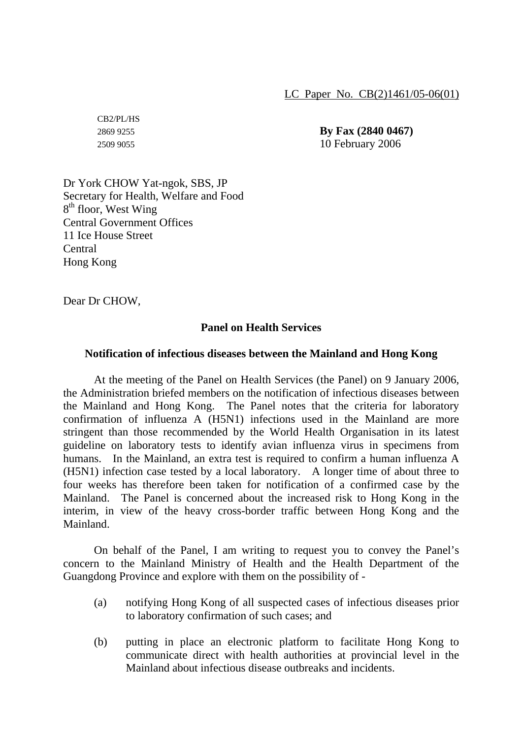LC Paper No. CB(2)1461/05-06(01)

CB2/PL/HS

2869 9255 **By Fax (2840 0467)** 2509 9055 10 February 2006

Dr York CHOW Yat-ngok, SBS, JP Secretary for Health, Welfare and Food  $8<sup>th</sup>$  floor, West Wing Central Government Offices 11 Ice House Street Central Hong Kong

Dear Dr CHOW,

## **Panel on Health Services**

## **Notification of infectious diseases between the Mainland and Hong Kong**

 At the meeting of the Panel on Health Services (the Panel) on 9 January 2006, the Administration briefed members on the notification of infectious diseases between the Mainland and Hong Kong. The Panel notes that the criteria for laboratory confirmation of influenza A (H5N1) infections used in the Mainland are more stringent than those recommended by the World Health Organisation in its latest guideline on laboratory tests to identify avian influenza virus in specimens from humans. In the Mainland, an extra test is required to confirm a human influenza A (H5N1) infection case tested by a local laboratory. A longer time of about three to four weeks has therefore been taken for notification of a confirmed case by the Mainland. The Panel is concerned about the increased risk to Hong Kong in the interim, in view of the heavy cross-border traffic between Hong Kong and the Mainland.

 On behalf of the Panel, I am writing to request you to convey the Panel's concern to the Mainland Ministry of Health and the Health Department of the Guangdong Province and explore with them on the possibility of -

- (a) notifying Hong Kong of all suspected cases of infectious diseases prior to laboratory confirmation of such cases; and
- (b) putting in place an electronic platform to facilitate Hong Kong to communicate direct with health authorities at provincial level in the Mainland about infectious disease outbreaks and incidents.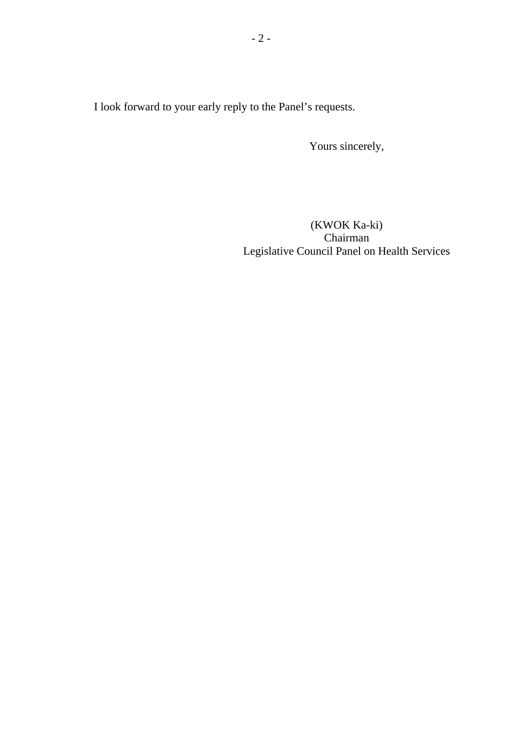I look forward to your early reply to the Panel's requests.

Yours sincerely,

(KWOK Ka-ki) Chairman Legislative Council Panel on Health Services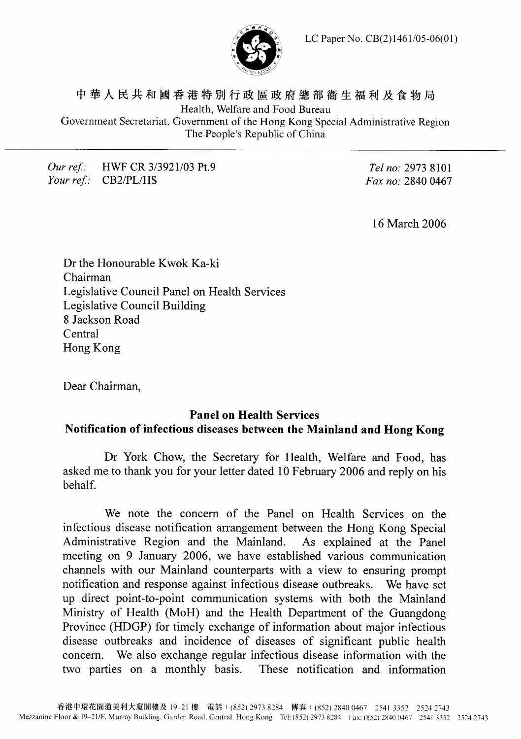LC Paper No. CB(2)1461/05-06(01)



中華人民共和國香港特別行政區政府總部衛生福利及食物局 Health, Welfare and Food Bureau Government Secretariat, Government of the Hong Kong Special Administrative Region The People's Republic of China

## Our ref.: HWF CR 3/3921/03 Pt.9 Your ref.: CB2/PL/HS

Tel no: 2973 8101 Fax no: 2840 0467

16 March 2006

Dr the Honourable Kwok Ka-ki Chairman Legislative Council Panel on Health Services Legislative Council Building 8 Jackson Road Central Hong Kong

Dear Chairman,

## **Panel on Health Services** Notification of infectious diseases between the Mainland and Hong Kong

Dr York Chow, the Secretary for Health, Welfare and Food, has asked me to thank you for your letter dated 10 February 2006 and reply on his behalf.

We note the concern of the Panel on Health Services on the infectious disease notification arrangement between the Hong Kong Special Administrative Region and the Mainland. As explained at the Panel meeting on 9 January 2006, we have established various communication channels with our Mainland counterparts with a view to ensuring prompt notification and response against infectious disease outbreaks. We have set up direct point-to-point communication systems with both the Mainland Ministry of Health (MoH) and the Health Department of the Guangdong Province (HDGP) for timely exchange of information about major infectious disease outbreaks and incidence of diseases of significant public health We also exchange regular infectious disease information with the concern. two parties on a monthly basis. These notification and information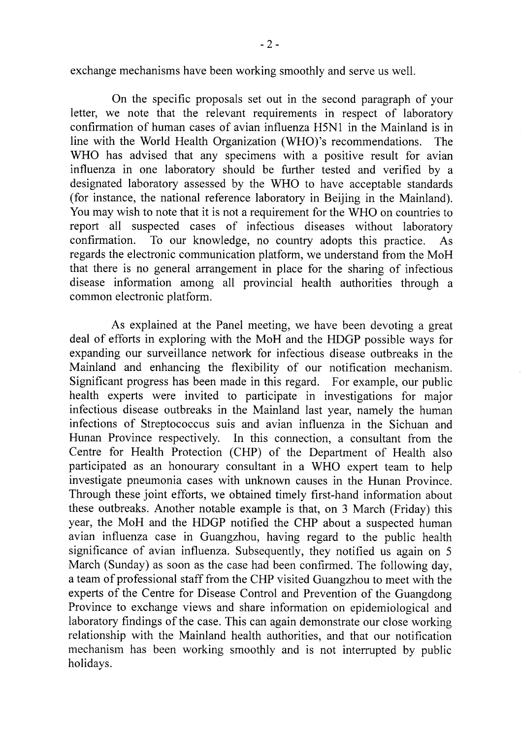exchange mechanisms have been working smoothly and serve us well.

On the specific proposals set out in the second paragraph of your letter, we note that the relevant requirements in respect of laboratory confirmation of human cases of avian influenza H5N1 in the Mainland is in line with the World Health Organization (WHO)'s recommendations. The WHO has advised that any specimens with a positive result for avian influenza in one laboratory should be further tested and verified by a designated laboratory assessed by the WHO to have acceptable standards (for instance, the national reference laboratory in Beijing in the Mainland). You may wish to note that it is not a requirement for the WHO on countries to report all suspected cases of infectious diseases without laboratory confirmation. To our knowledge, no country adopts this practice.  $As$ regards the electronic communication platform, we understand from the MoH that there is no general arrangement in place for the sharing of infectious disease information among all provincial health authorities through a common electronic platform.

As explained at the Panel meeting, we have been devoting a great deal of efforts in exploring with the MoH and the HDGP possible ways for expanding our surveillance network for infectious disease outbreaks in the Mainland and enhancing the flexibility of our notification mechanism. Significant progress has been made in this regard. For example, our public health experts were invited to participate in investigations for major infectious disease outbreaks in the Mainland last year, namely the human infections of Streptococcus suis and avian influenza in the Sichuan and Hunan Province respectively. In this connection, a consultant from the Centre for Health Protection (CHP) of the Department of Health also participated as an honourary consultant in a WHO expert team to help investigate pneumonia cases with unknown causes in the Hunan Province. Through these joint efforts, we obtained timely first-hand information about these outbreaks. Another notable example is that, on 3 March (Friday) this year, the MoH and the HDGP notified the CHP about a suspected human avian influenza case in Guangzhou, having regard to the public health significance of avian influenza. Subsequently, they notified us again on 5 March (Sunday) as soon as the case had been confirmed. The following day, a team of professional staff from the CHP visited Guangzhou to meet with the experts of the Centre for Disease Control and Prevention of the Guangdong Province to exchange views and share information on epidemiological and laboratory findings of the case. This can again demonstrate our close working relationship with the Mainland health authorities, and that our notification mechanism has been working smoothly and is not interrupted by public holidays.